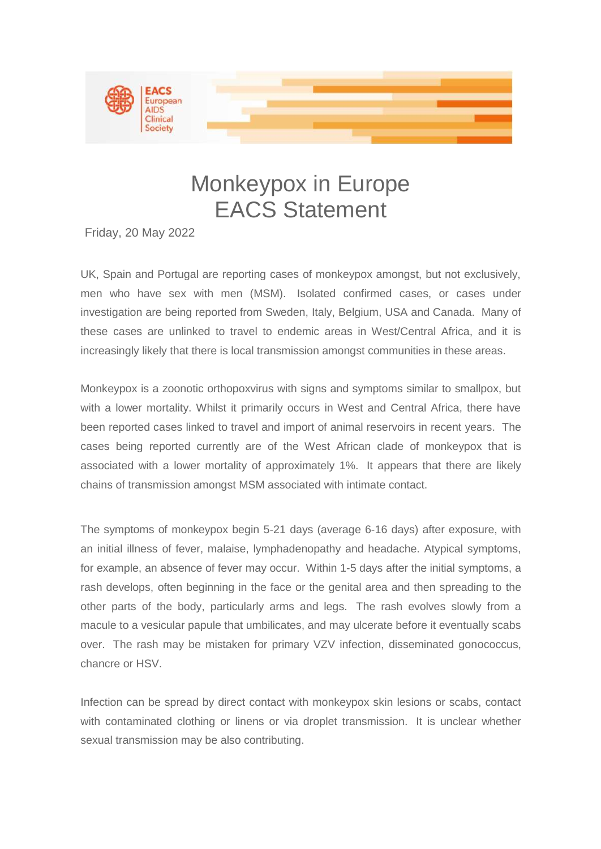

## Monkeypox in Europe EACS Statement

Friday, 20 May 2022

UK, Spain and Portugal are reporting cases of monkeypox amongst, but not exclusively, men who have sex with men (MSM). Isolated confirmed cases, or cases under investigation are being reported from Sweden, Italy, Belgium, USA and Canada. Many of these cases are unlinked to travel to endemic areas in West/Central Africa, and it is increasingly likely that there is local transmission amongst communities in these areas.

Monkeypox is a zoonotic orthopoxvirus with signs and symptoms similar to smallpox, but with a lower mortality. Whilst it primarily occurs in West and Central Africa, there have been reported cases linked to travel and import of animal reservoirs in recent years. The cases being reported currently are of the West African clade of monkeypox that is associated with a lower mortality of approximately 1%. It appears that there are likely chains of transmission amongst MSM associated with intimate contact.

The symptoms of monkeypox begin 5-21 days (average 6-16 days) after exposure, with an initial illness of fever, malaise, lymphadenopathy and headache. Atypical symptoms, for example, an absence of fever may occur. Within 1-5 days after the initial symptoms, a rash develops, often beginning in the face or the genital area and then spreading to the other parts of the body, particularly arms and legs. The rash evolves slowly from a macule to a vesicular papule that umbilicates, and may ulcerate before it eventually scabs over. The rash may be mistaken for primary VZV infection, disseminated gonococcus, chancre or HSV.

Infection can be spread by direct contact with monkeypox skin lesions or scabs, contact with contaminated clothing or linens or via droplet transmission. It is unclear whether sexual transmission may be also contributing.